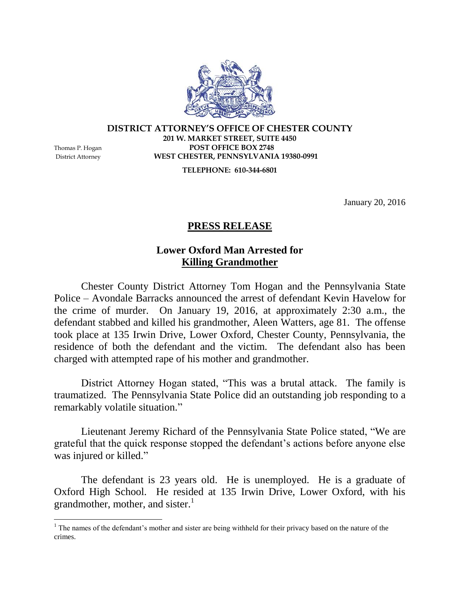

## **DISTRICT ATTORNEY'S OFFICE OF CHESTER COUNTY 201 W. MARKET STREET, SUITE 4450** Thomas P. Hogan **POST OFFICE BOX 2748** District Attorney **WEST CHESTER, PENNSYLVANIA 19380-0991**

**TELEPHONE: 610-344-6801**

January 20, 2016

## **PRESS RELEASE**

## **Lower Oxford Man Arrested for Killing Grandmother**

Chester County District Attorney Tom Hogan and the Pennsylvania State Police – Avondale Barracks announced the arrest of defendant Kevin Havelow for the crime of murder. On January 19, 2016, at approximately 2:30 a.m., the defendant stabbed and killed his grandmother, Aleen Watters, age 81. The offense took place at 135 Irwin Drive, Lower Oxford, Chester County, Pennsylvania, the residence of both the defendant and the victim. The defendant also has been charged with attempted rape of his mother and grandmother.

District Attorney Hogan stated, "This was a brutal attack. The family is traumatized. The Pennsylvania State Police did an outstanding job responding to a remarkably volatile situation."

Lieutenant Jeremy Richard of the Pennsylvania State Police stated, "We are grateful that the quick response stopped the defendant's actions before anyone else was injured or killed."

The defendant is 23 years old. He is unemployed. He is a graduate of Oxford High School. He resided at 135 Irwin Drive, Lower Oxford, with his grandmother, mother, and sister. $\frac{1}{1}$ 

 $\overline{a}$ 

 $1$  The names of the defendant's mother and sister are being withheld for their privacy based on the nature of the crimes.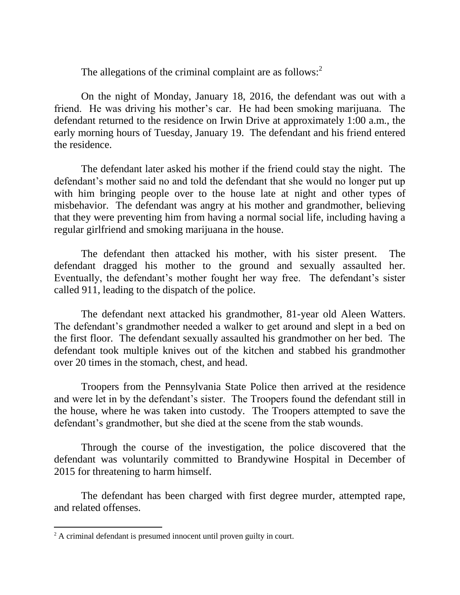The allegations of the criminal complaint are as follows: $2^2$ 

On the night of Monday, January 18, 2016, the defendant was out with a friend. He was driving his mother's car. He had been smoking marijuana. The defendant returned to the residence on Irwin Drive at approximately 1:00 a.m., the early morning hours of Tuesday, January 19. The defendant and his friend entered the residence.

The defendant later asked his mother if the friend could stay the night. The defendant's mother said no and told the defendant that she would no longer put up with him bringing people over to the house late at night and other types of misbehavior. The defendant was angry at his mother and grandmother, believing that they were preventing him from having a normal social life, including having a regular girlfriend and smoking marijuana in the house.

The defendant then attacked his mother, with his sister present. The defendant dragged his mother to the ground and sexually assaulted her. Eventually, the defendant's mother fought her way free. The defendant's sister called 911, leading to the dispatch of the police.

The defendant next attacked his grandmother, 81-year old Aleen Watters. The defendant's grandmother needed a walker to get around and slept in a bed on the first floor. The defendant sexually assaulted his grandmother on her bed. The defendant took multiple knives out of the kitchen and stabbed his grandmother over 20 times in the stomach, chest, and head.

Troopers from the Pennsylvania State Police then arrived at the residence and were let in by the defendant's sister. The Troopers found the defendant still in the house, where he was taken into custody. The Troopers attempted to save the defendant's grandmother, but she died at the scene from the stab wounds.

Through the course of the investigation, the police discovered that the defendant was voluntarily committed to Brandywine Hospital in December of 2015 for threatening to harm himself.

The defendant has been charged with first degree murder, attempted rape, and related offenses.

 $\overline{a}$ 

<sup>&</sup>lt;sup>2</sup> A criminal defendant is presumed innocent until proven guilty in court.